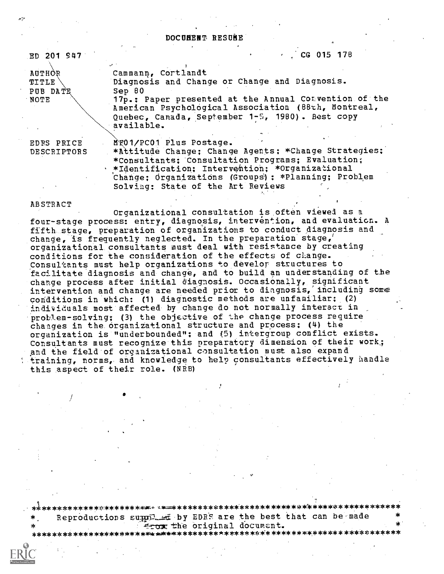DOCUMENT RESUNE

| ED 201 947      | $\frac{1}{2}$ CG 015 178                              |
|-----------------|-------------------------------------------------------|
| AUTHOR          | Cammann, Cortlandt                                    |
| <b>TITLE</b>    | Diagnosis and Change or Change and Diagnosis.         |
| <b>PUB DATE</b> | $Sep_60$                                              |
| NOTE            | 17p.; Paper presented at the Annual Comvention of the |
|                 | American Psychological Association (88th, Montreal,   |
|                 | Quebec, Canada, September 1-5, 1980). Best copy       |
|                 | available.                                            |
|                 |                                                       |
| EDRS PRICE      | MTO1/PC01 Plus Postage.                               |
| DESCRIPTORS     | *Attitude Change; Change Agents; *Change Strategies;  |

\*Attitude Change; Change Agents; \*Change Strategies; \*Consultants; Consultation Programs; Evaluation; \*Identification; Intervention; \*Organizational Change; Organizations (Groups): \*Planning; Problem Solving: State of the Art Reviews

#### ABSTRACT

Organizational consultation is often viewed as a four-stage process: entry, diagnosis, intervention, and evaluation. A fifth stage, preparation of organizations to conduct diagnosis and change, is frequently neglected. In the preparation stage, organizational consultants must deal with resistance by creating conditions for the consideration of the effects of clange. Consultants must help organizations to develor structures to facilitate diagnosis and change, and to build an understanding of the change process after initial diagnosis. Occasionally, significant intervention and change are needed prior to diagnosis, including some conditions in which: (1) diagnostic methods are unfamiliar; (2) individuals most affected by change do not normally interact in problem-solving; (3) the objective of the change process require changes in the organizational structure and process: (4) the organization is "underbounded"; and (5) intergroup conflict exists. Consultants must recognize this preparatory dimension of their work; and the field of organizational consultation must also expand training, norms, and knowledge to help consultants effectively handle this aspect of their role. (NRB)

Reproductions supple by EDRS are the best that can be made from the original document.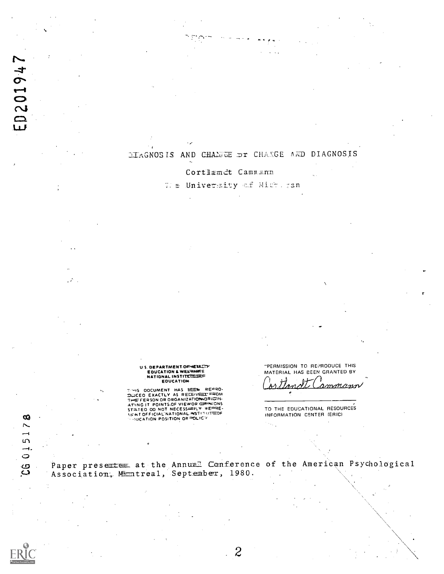## DIAGNOSIS AND CHANGE OT CHAIGE AND DIAGNOSIS

Cortlandt Cammann

We University of Mich.gan

US DEPARTMENT OF HEIRITH<br>EDUCATION & WELTWATE<br>NATIONAL INSTITURED OF<br>EDUCATION

 $\sim$ 

E0201947

 $\mathcal{L}$ 

 $\pmb{\infty}$  $\overline{\phantom{1}}$  $\rightarrow$  $\Omega$  $-1$  $\circ$ 

ပ္ပ

THIS OOCUMENT HAS BEEN REARD.<br>DUCEO EXACTLY AS RECEIVED THE FERSON OR ORGANIZATION ORIGINATION.<br>ATTREFERSON OR ORGANIZATION OF MESSING THE FERSON OF DECESSARILY REPRESSIBLE STATED OO NOT NECESSARILY REPRESSIBLE OF THE STAT

"PERMISSION TO REPRODUCE THIS MATERIAL HAS BEEN GRANTED BY 7

<u>amman</u>a

TO THE EDUCATIONAL RESOURCES INFORMATION CENTER (ERIC)

Paper presentee at the Annual Conference of the American Psychological Association, Mimtreal, September, 1980.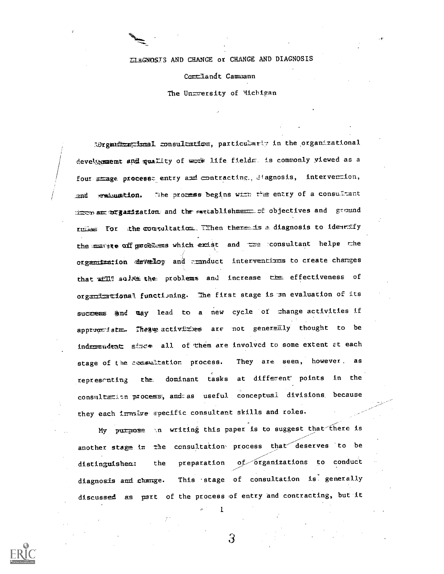ELEGNOSIS AND CHANGE OF CHANGE AND DIAGNOSIS

Continued Cammann

The University of Michigan

Morganizzazional consultation, particularly in the organizational development and quality of work life fields. is commonly viewed as a four smage process: entry and contracting, diagnosis, intervention, Whe process begins with the entry of a consultant **and** evenuation. throw am organization and the establishment of objectives and ground ruisse for the consultation. Tihen there is a diagnosis to identify the mature off problems which exist and the consultant helps the organization develop and moduct interventions to create charges that will solve the problems and increase the effectiveness of organizational functioning. The first stage is an evaluation of its success and may lead to a new cycle of change activities if appromiste. These activities are not generally thought to be independent since all of them are involved to some extent at each stage of the consultation process. They are seen, however, as dominant tasks at different points in the representing  $the$ consultation process, and as useful conceptual divisions because they each invalve specific consultant skills and roles.

My purpose in writing this paper is to suggest that there is another stage in the consultation process that deserves to be preparation of organizations to conduct the distinguishem: This stage of consultation is generally diagnosis and change. discussed as part of the process of entry and contracting, but it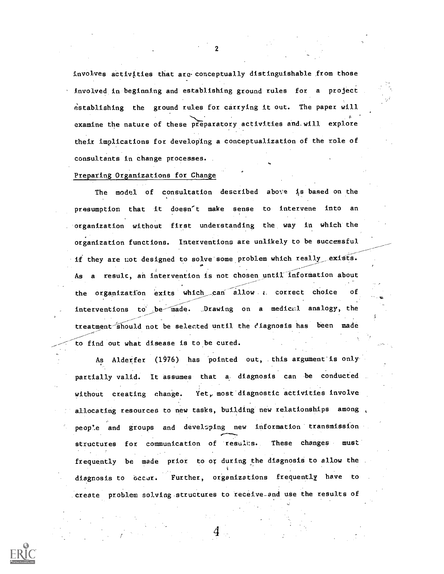involves activities that are conceptually distinguishable from those involved. in beginning and establishing ground rules for a project establishing the ground rules for carrying it out. The paper will examine the nature of these preparatory activities and will explore their implications for developing a conceptualization of the role of consultants in change processes.

### Preparing Organizations for Change

The model of consultation described above is based on the presumption that it doesn't make sense to intervene into an . organization without first understanding the way in which the organization functions. Interventions are unlikely to be successful  $\sim$ if they are not designed to solve some problem which really\_exists. As a result, an intervention is not chosen until information about the organization exits which can allow a correct choice of interventions to be made. Drawing on a medical analogy, the treatment should not be selected until the ciagnosis has been made to find out what disease is to be cured.

As Alderfer (1976) has pointed out, this argument is only partially valid. It assumes that a. diagnosis can be conducted without creating change. Yet, most diagnostic activities involve allocating resources to new tasks, building new relationships among people and groups and developing new information transmission structures for communication of results. These changes must frequently be made prior to or during the diagnosis to allow the diagnosis to occur. Further, organizations frequently have to .create problem solving structures to receive\_and use the results of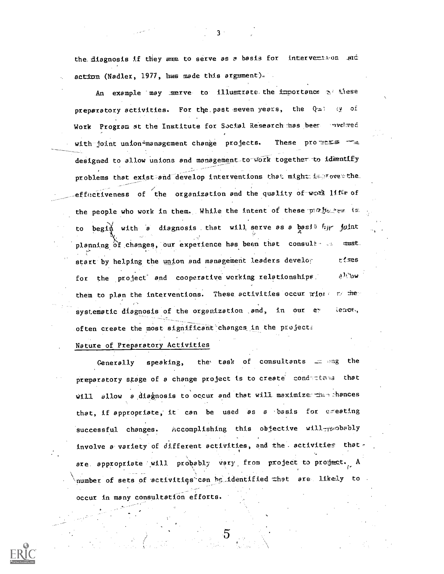the disgnosis if they are to serve as a basis for intervention and action (Nadler, 1977, has made this argument).

An example may serve to illustrate the importance  $\infty$  these preparatory activities. For the past seven years, the Quilley of Work Program at the Institute for Social Research has been much red with joint union-management change projects. These promets designed to allow unions and management to work together to identify problems that exist and develop interventions that might in rove the effectiveness of the organization and the quality of work lifts of the people who work in them. While the intent of these professes is to begin with a diagnosis that will serve as a basis for joint planning of changes, our experience has been that consult as mmst. start by helping the union and management leaders develor **rizes** a Hibw for the project and cooperative working relationships. them to plan the interventions. These activities occur wint to fier systematic diagnosis of the organization and, in our extence, often create the most significant changes in the projects

Nature of Preparatory Activities

the task of consultants and the Generally speaking, preparatory stage of a change project is to create conditions that will sllow a disgnosis to occur and that will maximize the chances that, if appropriate, it can be used as a basis for ereating Accomplishing this objective will probably successful changes. involve a variety of different activities, and the activities that are appropriate will probably vary from project to project. A number of sets of activities can be identified that are likely to occur in many consultation efforts.

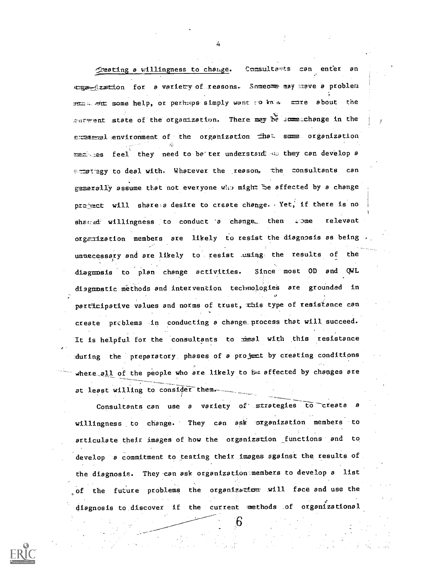Creating a willingness to change. Consultants can enter an Example 20 Lion for a variety of reasons. Someone may knove a problem smas sim some help, or perhaps simply want to know more about the careent state of the organization. There may be some change in the experimed environment of the organization that some organization ment ses feel they need to be ter understand as they can develop a scrategy to deal with. Whatever the reason, the consultants can gezerally assume that not everyone who might be affected by a change project will share a desire to create change. Yet, if there is no shared willingness to conduct a change, then wome relevant organization members are likely to resist the diagnosis as being unnecessary and are likely to resist using the results of the Since most OD and QWL diagnosis to plan change activities. disgnostic methods and intervention technologies are grounded in participative values and norms of trust, this type of resistance can create problems in conducting a change process that will succeed. It is helpful for the consultants to real with this resistance during the preparatory phases of a project by creating conditions where all of the people who are likely to be affected by changes are at least willing to consider them.

Consultants can use a variety of strategies to create a willingness to change. They can ask organization members to articulate their images of how the organization functions and to develop a commitment to testing their images against the results of the disgnosis. They can ask organization members to develop a list of the future problems the organization will face and use the diagnosis to discover if the current methods of organizational

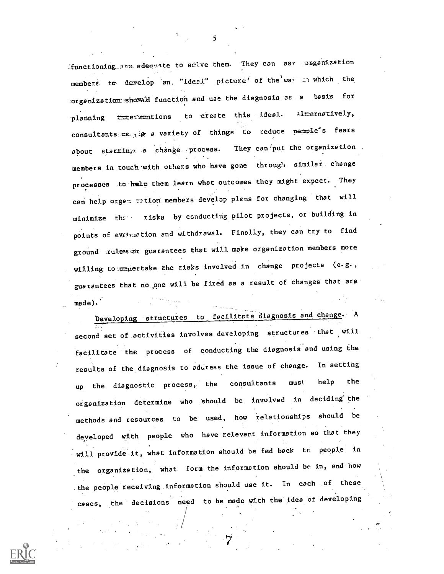functioning are adequate to scive them. They can as\* rorganization members to develop an. "ideal" picture<sup>f</sup> of the war in which the Lorganization showed function and use the diagnosis as a basis for planning <del>interma</del>tions to create this ideal. alternatively, consultants  $c_{k+1}$  a variety of things to reduce people's fears about starting a change process. They can put the organization members in touch with others who have gone through similar change processes to help them learn what outcomes they might expect. They can help organ 7ation members develop plans for changing that will minimize the risks by conducting pilot projects, or building in points of evaluation and withdrawal. Finally, they can try to find ground rules or guarantees that will make organization members more willing to undertake the risks involved in change projects (e.g., guarantees that no one will be fired as a result of changes that are made).'

Developing structures to facilitate diagnosis and change. A second set of activities involves developing structures that will facilitate the process of conducting the diagnosis and using the results of the diagnosis to aduress the issue of change. In setting up the diagnostic process, the consultants must help the organization determine who should be involved in deciding the methods and resources to be. used, how relationships should be developed with people who have relevant information so that they will provide it, what information should be fed back to people in the organization, what form the information should be in, and how the people receiving information should use it. In each of these cases, the decisions need to be made with the idea of developing

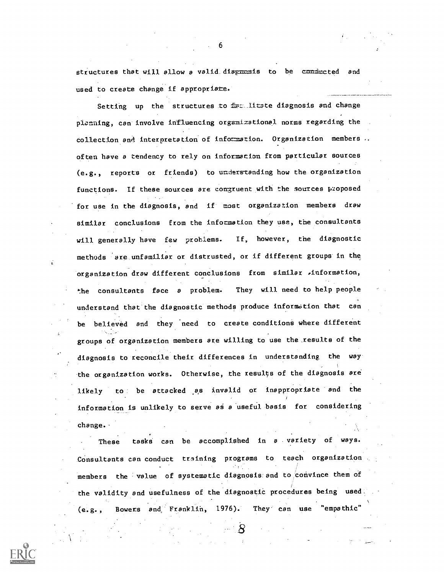structures that will allow a valid diagmmais to be communiced and used to create change if appropriate.

Setting up the structures to free litate diagnosis and change planning, can involve influencing organizational norms regarding the collection and interpretation of information. Organization members .. often have a tendency to rely on information from particular sources (e.g., reports or friends) to unalersranding how the organization functions. If these sources are congruent with the sources proposed for use in the diagnosis, and if most organization members draw similar conclusions from the information they use, the consultants will generally have few problems. If, however, the diagnostic methods are unfamiliar or distrusted, or if different groups in the organization draw different conclusions from similar Anformation, the consultants face <sup>a</sup> problem. They will need to help people understand that the diagnostic methods produce information that can be believed and they need to create conditions where different groups of organization members are willing to use the results of the diagnosis to reconcile their differences in understanding the way the organization works. Otherwise, the results of the diagnosis are likely to be attacked as invalid or inappropriate and the information is unlikely to serve as a useful basis for considering change.

These tasks can be accomplished in a variety of ways. Consultants can conduct training programs to teach organization members the value of systematic diagnosis and to convince them of the validity and usefulness of the diagnostic procedures being used (e.g., Bowers and, Franklin, 1976). They can use "empathic"

 $\overline{S}$ 

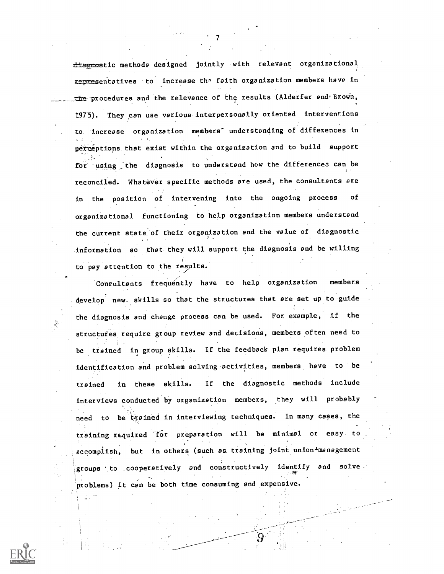flagmostic methods designed jointly with relevant organizational i representatives to increase the faith organization members have in the procedures and the relevance of the results (Alderfer and Brown, 1975). They can use various interpersonally oriented interventions to. increase organization members' understanding of differences in perceptions that exist within the organization and to build support for using the diagnosis to understand how the differences can be reconciled. Whatever specific methods are used, the consultants are in the position of intervening into the ongoing process of organizational functioning to help organization members understand the current state of their organization and the value of diagnostic information so that they will support the diagnosis and be willing to pay attention to the results.

 $\mathcal{T}$  and  $\mathcal{T}$ 

Consultants frequently have to help organization members develop new, skills so that the structures that are set up to guide the diagnosis and change process can be used. For example, if the structures require group review and decisions, members often need to be trained in group skills. If the feedback plan requires. problem identification and problem solving activities, members have to be trained in these skills. If the diagnostic methods include interviews conducted by organization members, they will probably need to be trained in interviewing techniques. In many cases, the training required 'for preparation will be minimal or easy to accomplish, but in others (such as training joint union4management groups to cooperatively and constructively identify and solve problems) it can be both time consuming and expensive.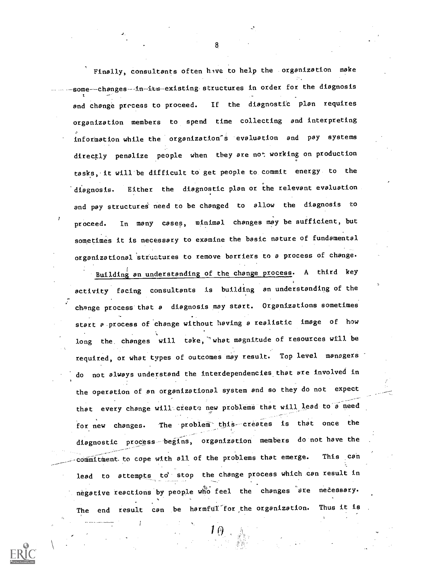Finally, consultants often hive to help the organization make some---changes--in-its-existing structures in order for the diagnosis and change process to proceed. If the diagnostic plan requires organization members to spend time collecting and interpreting information while the organization<sup>'s</sup> evaluation and pay systems directly penalize people when they are not working on production tasks, it will be difficult to get people to commit energy to the diagnosis. Either the diagnostic plan or the relevant evaluation and pay structures need to be changed to allow the diagnosis to proceed. In many cases, minimal changes may be sufficient, but sometimes it is necessary to examine the basic nature of fundamental organizational structures to remove barriers to a process of change.

Building an understanding of the change process. A third key activity facing consultants is building an understanding of the change process that a diagnosis may start. Organizations sometimes start a.process of change without having a realistic image of how long the changes will take, "what magnitude of resources will be required, or what types of outcomes may result. Top level managers do not always understand the interdependencies that are involved in the operation of an organizational system and so they do not expect --, that every change will create new problems that will lead to a need for new changes. The problem this creates is that once the diagnostic process begins, organization members do not have the commitment to cope with all of the problems that emerge. This can lead to attempts to stop the change process which can result in negative reactions by people who feel the changes are necessary. The end result can be harmful for the organization. Thus it is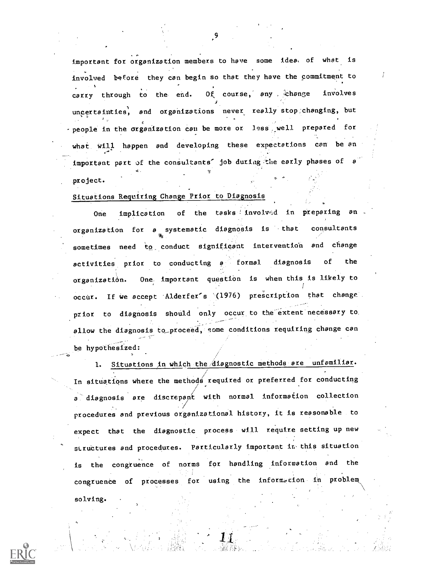important for organization members to have some idea, of what is involved before they can begin so that they have the commitment to carry through to the end. Of course, any change involves  $\mathbf{y} = (x_1, x_2, \ldots, x_n)$ uncertainties, and organizations never really stop: changing, but -people in the organization can be more or less well prepared for what will happen and developing these expectations can be an important part of the consultants' job during the early phases of  $e$ project.

## Situations Requiring Change Prior to Diagnosis

One implication of the tasks involved in preparing an organization for <sup>a</sup> systematic diagnosis is that consultants sometimes need to conduct significant intervention and change activities prior to conducting a formal diagnosis of the organization. One important question is when this is likely to occur. If we accept Alderfer's (1976) prescription that change prior to diagnosis should only occur to the extent'necessary to. allow the diagnosis to\_proceed, some conditions requiring change can be hypothesized:

1. Situations in which the diagnostic methods are unfamiliar. In situations where the methods required or preferred for conducting a diagnosis are discrepant with normal information collection procedures and previous organizational history, it is reasonable to expect that the diagnostic process will require setting up new structures and procedures. Particularly important in this situation is the congruence of norms for handling information and the congruence of processes for using the information in problem solving.

9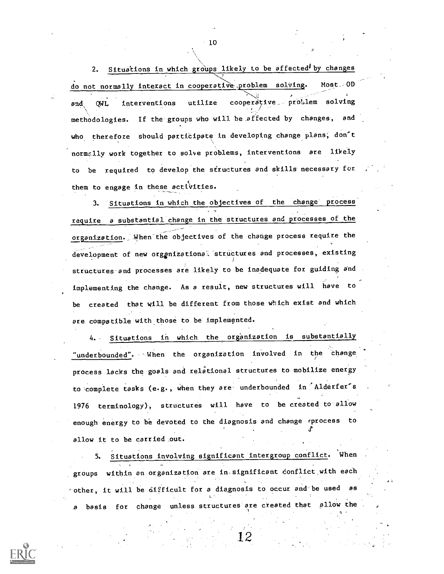2. Situations in which groups likely to be affected<sup>\$</sup> by changes do not normally interact in cooperative problem solving. Most -0D<br>And the contract of the contract of the contract of the contract of the contract of the contract of the contract of the contract of the contract of the cont and OWL interventions utilize cooperative proLlem solving methodologies. If the groups who will be affected by changes, and who therefore should participate in developing change plans; don't normclly work together to solve problems, interventions are likely to be required to develop the structures and skills' necessary for them to engage in these activities.

3. Situations in which the objectives of the change process' require a substantial change in the structures and processes of the organization. When the objectives of the change process require the development of new orgenizational structures and processes, existing structures and processes are likely to be inadequate for guiding and implementing the change. As a result, new structures will have to be created that will be different from those which exist and which are compatible with those to be implemented.

4. Situations in which the organization is substantially "underbounded". -When the organization involved in the change process lacks the goals and relational structures to mobilize energy to complete tasks (e.g., when they are underbounded in Alderfer's 1976 terminology), structures will have to be created to-allow enough energy to be devoted to the diagnosis and change rprocess to allow it to be carried out.

5. Situations involving significant intergroup conflict. When groups within an organization are in significant conflict with each -other, it will be difficult for a diagnosis to occur and-be used as a basis for change unless structures are created that allow the . ,

12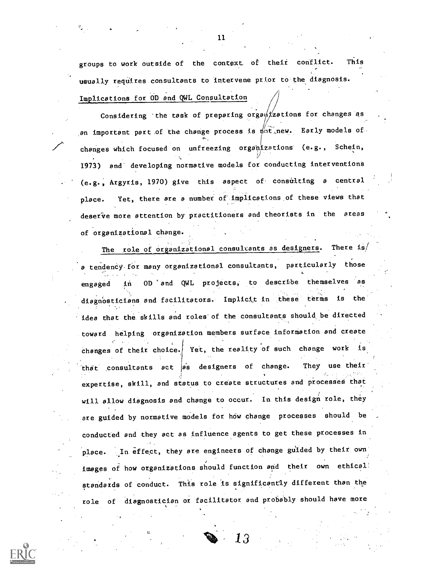groups to work outside of the context, of their conflict. This usually requires consultants to intervene prior to the diagnosis. Implications for OD and QWL Consultation

Considering 'the task of preparing  $orga\sqrt{x}$ ations for changes as an important part of the change process is  $\psi$ t, new. Early models of-**0**-1. In the set of  $\theta$ changes which focused on unfreezing organizations (e.g., Schein, 1973) and developing normative models for conducting interventions (e.g., Argyris, 1970) give this aspect of consulting <sup>a</sup> central place. Yet, there are a number of implications of these views that deserve more attention by practitioners and theorists in the areas of organizational change.

The role of organizational consultants as designers. There is/ a tendency for many organizational consultants, particularly those . .. engaged in OD °and QWL pro4ects; to describe themselves as diagnosticians and facilitators. Implicit in these terms is the 'idea that the skills and roles'of the consultants should be directed toward helping organization members surface information and create changes of their choice. Yet, the reality of such change work is that consultants act as designers of change. They use their expertise, skill, and status to create structures and processes that will allow diagnosis and change to occur. In this design role, they are guided by normative models for how change processes should be conducted and they act as influence agents to get these processes in place. In effect, they are engineers of change guided by their own images of how organizations. should function arid their own ethical: standards of conduct. This role Is significantly different than the role of diagnostician or facilitator and probably should have more

.

 $1\beta$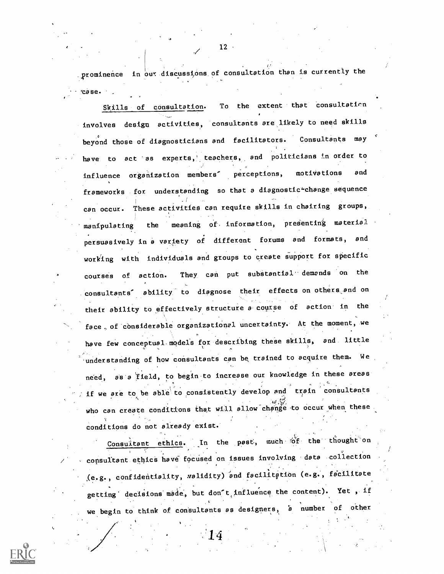prominence in our discussions of consultation than is currently the 'case.

Skills of consultation. To the extent that consultation involves design activities, consultants are ,likely to need skills beyond those of diagnosticians and facilitators. Consultants may have to act as experts, teachers, and politicians in order to influence organization members' perceptions, motivations and frameworks for understanding so that a diagnostic-change sequence can occur. These activities can require skills in chairing groups, manipulating the meaning of information, presenting material persuasively in a variety of different forums and formats, and working with individuals and groups to create support fox specific courses of action. They can put substantial demands on the consultants<sup>'</sup> ability to diagnose their effects on others and on their ability to effectively structure a-course of action in the face, of considerable organizational uncertainty. At the moment, we have few conceptual. models fox describing these skills, and little understanding of how consultants can be trained to acquire them. We need, as a field, to begin-to increase our knowledge in these areas if we are to be able to consistently develop and train consultants who can create conditions that will allow change to occur when these conditions do not already exist.

Consultant ethics. In the past, much of the thought on consultant ethics have focused on issues involving data collection (e.g., confidentiality, walidity) and facilitation (e.g., facilitate getting decisions made, but don't influence the content). Yet, if we begin to think of consultants as designers, a number of other

 $14 \,$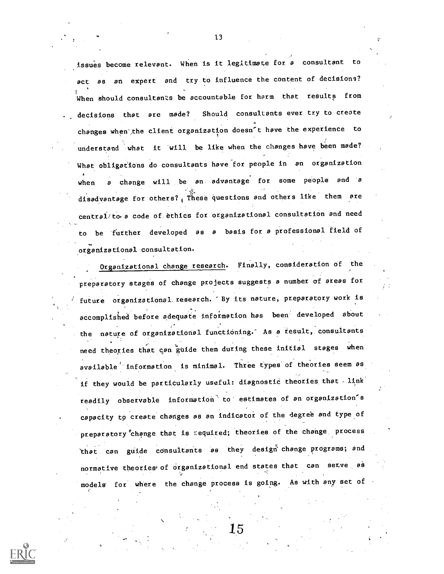issues become relevant. When is it legitimate for a consultant to act as an expert and try to influence the content of decisions? When should consultants be accountable for harm that results from decisions that are made? Should consultants ever try to create changes when the client organization doesn't have the experience to understand what it will be like when the changes have been made? What obligations do consultants have for people in an organization when  $\rho$  change will be an advantage for some people and a disadvantage for others?  $_4$  These questions and others like them are central/to a code of ethics for organizational consultation and need to be 'further developed as <sup>a</sup> basis for a professional field of organizational consultation.

Organizational change research. Finally, consideration of the preparatory stages of change projects suggests a number of areas for future organizational research. By its nature, preparatory work is accomplished before adequate information has been developed about the nature of organizational functioning. As a result, consultants need theories that can guide them during these initial stages when available' information is minimal. Three types of theories seem as if they would be particularly useful: diagnostic theories that - link readily observable information to estimates of an organization's capacity tp create changes as an indicator of the degree and type of preparatory change that is required; theories of the change process 'that can guide consultants as they design change programs; and normative theories of organizational end states that can setve as models for where the change process is going. As with any set of

15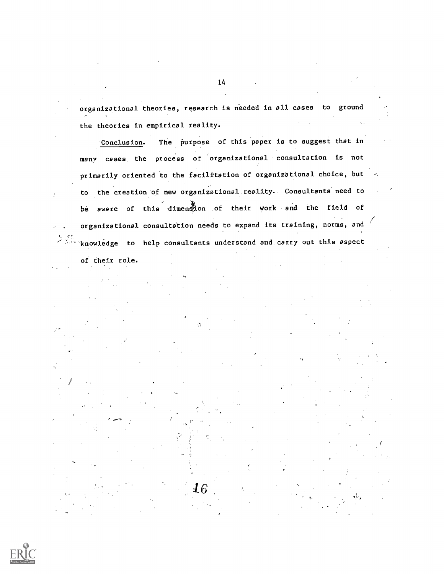organizational theories, research is needed in all cases to ground the theories in empirical reality.

'Conclusion. The purpose of this paper is to suggest that in many cases the process of organizational consultation is not primarily oriented to the facilitation of organizational choice, but to the creation 'of new organizational reality.. Consultants need to be aware of this dimension of their work and the field of organizational consultation needs to expand its training, norms, and  $\sqrt{N}$  knowledge to help consultants understand and carry out this aspect

 ${\bf 16}$ 

of their role.

 $\frac{1}{\sqrt{2}}$